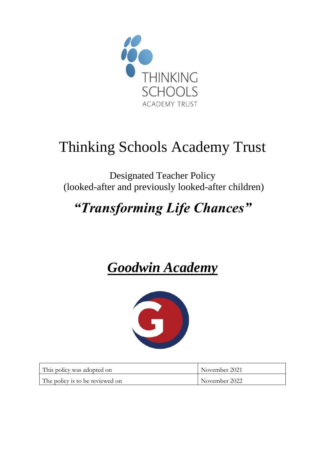

# Thinking Schools Academy Trust

Designated Teacher Policy (looked-after and previously looked-after children)

## *"Transforming Life Chances"*

## *Goodwin Academy*



| This policy was adopted on      | November 2021 |
|---------------------------------|---------------|
| The policy is to be reviewed on | November 2022 |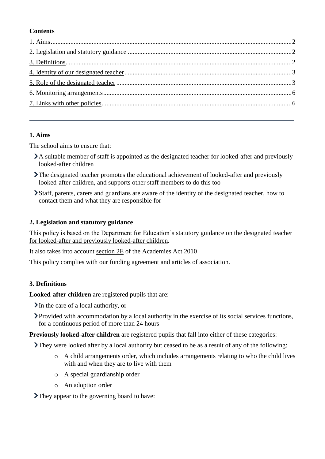## **Contents**

## <span id="page-1-0"></span>**1. Aims**

The school aims to ensure that:

- A suitable member of staff is appointed as the designated teacher for looked-after and previously looked-after children
- The designated teacher promotes the educational achievement of looked-after and previously looked-after children, and supports other staff members to do this too
- Staff, parents, carers and guardians are aware of the identity of the designated teacher, how to contact them and what they are responsible for

## <span id="page-1-1"></span>**2. Legislation and statutory guidance**

This policy is based on the Department for Education's statutory guidance on the designated teacher [for looked-after and previously looked-after children.](https://www.gov.uk/government/publications/designated-teacher-for-looked-after-children)

It also takes into account [section 2E](http://www.legislation.gov.uk/ukpga/2010/32/section/2E) of the Academies Act 2010

This policy complies with our funding agreement and articles of association.

## <span id="page-1-2"></span>**3. Definitions**

**Looked-after children** are registered pupils that are:

 $\sum$  In the care of a local authority, or

Provided with accommodation by a local authority in the exercise of its social services functions, for a continuous period of more than 24 hours

**Previously looked-after children** are registered pupils that fall into either of these categories:

They were looked after by a local authority but ceased to be as a result of any of the following:

- o A child arrangements order, which includes arrangements relating to who the child lives with and when they are to live with them
- o A special guardianship order
- o An adoption order

They appear to the governing board to have: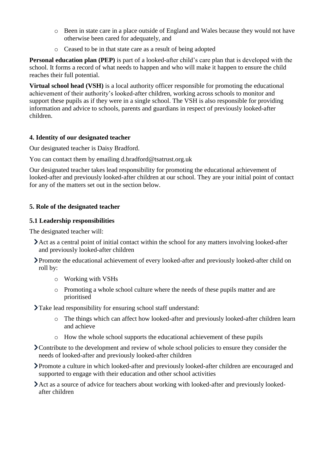- o Been in state care in a place outside of England and Wales because they would not have otherwise been cared for adequately, and
- o Ceased to be in that state care as a result of being adopted

**Personal education plan (PEP)** is part of a looked-after child's care plan that is developed with the school. It forms a record of what needs to happen and who will make it happen to ensure the child reaches their full potential.

**Virtual school head (VSH)** is a local authority officer responsible for promoting the educational achievement of their authority's looked-after children, working across schools to monitor and support these pupils as if they were in a single school. The VSH is also responsible for providing information and advice to schools, parents and guardians in respect of previously looked-after children.

## <span id="page-2-0"></span>**4. Identity of our designated teacher**

Our designated teacher is Daisy Bradford.

You can contact them by emailing d.bradford@tsatrust.org.uk

Our designated teacher takes lead responsibility for promoting the educational achievement of looked-after and previously looked-after children at our school. They are your initial point of contact for any of the matters set out in the section below.

## <span id="page-2-1"></span>**5. Role of the designated teacher**

## **5.1 Leadership responsibilities**

The designated teacher will:

- Act as a central point of initial contact within the school for any matters involving looked-after and previously looked-after children
- Promote the educational achievement of every looked-after and previously looked-after child on roll by:
	- o Working with VSHs
	- o Promoting a whole school culture where the needs of these pupils matter and are prioritised
- Take lead responsibility for ensuring school staff understand:
	- o The things which can affect how looked-after and previously looked-after children learn and achieve
	- o How the whole school supports the educational achievement of these pupils
- Contribute to the development and review of whole school policies to ensure they consider the needs of looked-after and previously looked-after children
- Promote a culture in which looked-after and previously looked-after children are encouraged and supported to engage with their education and other school activities
- Act as a source of advice for teachers about working with looked-after and previously lookedafter children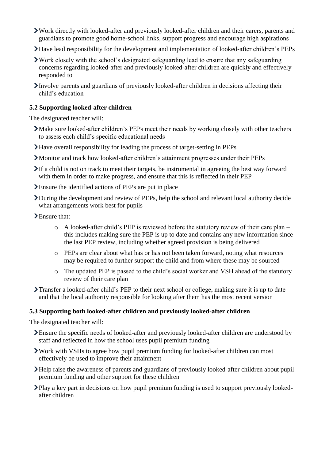- Work directly with looked-after and previously looked-after children and their carers, parents and guardians to promote good home-school links, support progress and encourage high aspirations
- Have lead responsibility for the development and implementation of looked-after children's PEPs
- Work closely with the school's designated safeguarding lead to ensure that any safeguarding concerns regarding looked-after and previously looked-after children are quickly and effectively responded to
- Involve parents and guardians of previously looked-after children in decisions affecting their child's education

## **5.2 Supporting looked-after children**

The designated teacher will:

- Make sure looked-after children's PEPs meet their needs by working closely with other teachers to assess each child's specific educational needs
- Have overall responsibility for leading the process of target-setting in PEPs
- Monitor and track how looked-after children's attainment progresses under their PEPs
- If a child is not on track to meet their targets, be instrumental in agreeing the best way forward with them in order to make progress, and ensure that this is reflected in their PEP
- Ensure the identified actions of PEPs are put in place
- During the development and review of PEPs, help the school and relevant local authority decide what arrangements work best for pupils
- Ensure that:
	- o A looked-after child's PEP is reviewed before the statutory review of their care plan this includes making sure the PEP is up to date and contains any new information since the last PEP review, including whether agreed provision is being delivered
	- o PEPs are clear about what has or has not been taken forward, noting what resources may be required to further support the child and from where these may be sourced
	- o The updated PEP is passed to the child's social worker and VSH ahead of the statutory review of their care plan
- Transfer a looked-after child's PEP to their next school or college, making sure it is up to date and that the local authority responsible for looking after them has the most recent version

### **5.3 Supporting both looked-after children and previously looked-after children**

The designated teacher will:

- Ensure the specific needs of looked-after and previously looked-after children are understood by staff and reflected in how the school uses pupil premium funding
- Work with VSHs to agree how pupil premium funding for looked-after children can most effectively be used to improve their attainment
- Help raise the awareness of parents and guardians of previously looked-after children about pupil premium funding and other support for these children
- Play a key part in decisions on how pupil premium funding is used to support previously lookedafter children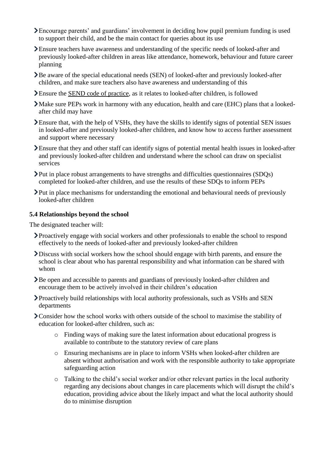- Encourage parents' and guardians' involvement in deciding how pupil premium funding is used to support their child, and be the main contact for queries about its use
- Ensure teachers have awareness and understanding of the specific needs of looked-after and previously looked-after children in areas like attendance, homework, behaviour and future career planning
- Be aware of the special educational needs (SEN) of looked-after and previously looked-after children, and make sure teachers also have awareness and understanding of this
- Ensure the [SEND code of practice,](https://www.gov.uk/government/publications/send-code-of-practice-0-to-25) as it relates to looked-after children, is followed
- Make sure PEPs work in harmony with any education, health and care (EHC) plans that a lookedafter child may have
- Ensure that, with the help of VSHs, they have the skills to identify signs of potential SEN issues in looked-after and previously looked-after children, and know how to access further assessment and support where necessary
- Ensure that they and other staff can identify signs of potential mental health issues in looked-after and previously looked-after children and understand where the school can draw on specialist services
- Put in place robust arrangements to have strengths and difficulties questionnaires (SDQs) completed for looked-after children, and use the results of these SDQs to inform PEPs
- Put in place mechanisms for understanding the emotional and behavioural needs of previously looked-after children

### **5.4 Relationships beyond the school**

The designated teacher will:

- Proactively engage with social workers and other professionals to enable the school to respond effectively to the needs of looked-after and previously looked-after children
- Discuss with social workers how the school should engage with birth parents, and ensure the school is clear about who has parental responsibility and what information can be shared with whom
- Be open and accessible to parents and guardians of previously looked-after children and encourage them to be actively involved in their children's education
- Proactively build relationships with local authority professionals, such as VSHs and SEN departments
- **>** Consider how the school works with others outside of the school to maximise the stability of education for looked-after children, such as:
	- o Finding ways of making sure the latest information about educational progress is available to contribute to the statutory review of care plans
	- o Ensuring mechanisms are in place to inform VSHs when looked-after children are absent without authorisation and work with the responsible authority to take appropriate safeguarding action
	- o Talking to the child's social worker and/or other relevant parties in the local authority regarding any decisions about changes in care placements which will disrupt the child's education, providing advice about the likely impact and what the local authority should do to minimise disruption